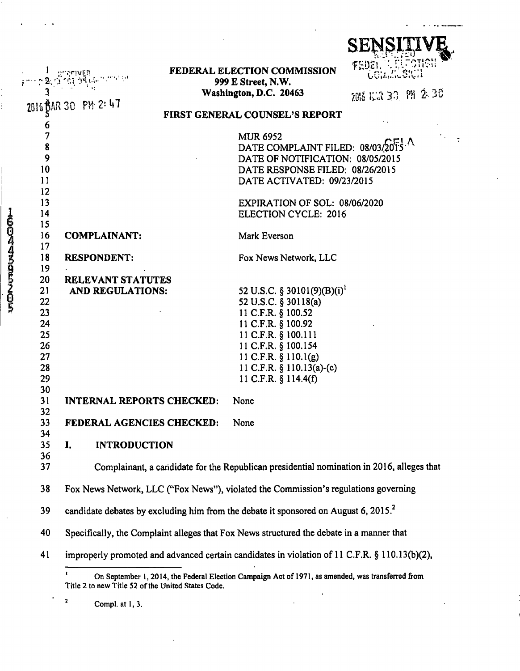|          |                                                                                                 |  |                                                                                                   | <b>SENSIT</b>         |
|----------|-------------------------------------------------------------------------------------------------|--|---------------------------------------------------------------------------------------------------|-----------------------|
|          |                                                                                                 |  | FEDERAL ELECTION COMMISSION<br>999 E Street, N.W.                                                 | FEDE1.                |
|          |                                                                                                 |  | Washington, D.C. 20463                                                                            | 2018/15/3/30 191 2:30 |
|          | UAR 30 PM 2፡ 47                                                                                 |  |                                                                                                   |                       |
|          |                                                                                                 |  | FIRST GENERAL COUNSEL'S REPORT                                                                    |                       |
| 7        |                                                                                                 |  | <b>MUR 6952</b>                                                                                   |                       |
| 8        |                                                                                                 |  | DATE COMPLAINT FILED: 08/03/2015                                                                  |                       |
| 9        |                                                                                                 |  | DATE OF NOTIFICATION: 08/05/2015                                                                  |                       |
| 10       |                                                                                                 |  | DATE RESPONSE FILED: 08/26/2015                                                                   |                       |
| 11       |                                                                                                 |  | DATE ACTIVATED: 09/23/2015                                                                        |                       |
| 12       |                                                                                                 |  |                                                                                                   |                       |
| 13       |                                                                                                 |  | EXPIRATION OF SOL: 08/06/2020                                                                     |                       |
| 14       |                                                                                                 |  | <b>ELECTION CYCLE: 2016</b>                                                                       |                       |
| 15       |                                                                                                 |  |                                                                                                   |                       |
| 16       | <b>COMPLAINANT:</b>                                                                             |  | Mark Everson                                                                                      |                       |
| 17       |                                                                                                 |  |                                                                                                   |                       |
| 18       | <b>RESPONDENT:</b>                                                                              |  | Fox News Network, LLC                                                                             |                       |
| 19       |                                                                                                 |  |                                                                                                   |                       |
| 20       | <b>RELEVANT STATUTES</b>                                                                        |  |                                                                                                   |                       |
| 21       | AND REGULATIONS:                                                                                |  | 52 U.S.C. § 30101(9)(B)(i) <sup>1</sup>                                                           |                       |
| 22       |                                                                                                 |  | 52 U.S.C. § 30118(a)                                                                              |                       |
| 23<br>24 |                                                                                                 |  | 11 C.F.R. § 100.52                                                                                |                       |
| 25       |                                                                                                 |  | 11 C.F.R. § 100.92<br>11 C.F.R. § 100.111                                                         |                       |
| 26       |                                                                                                 |  | 11 C.F.R. § 100.154                                                                               |                       |
| 27       |                                                                                                 |  | 11 C.F.R. $\S$ 110.1(g)                                                                           |                       |
| 28       |                                                                                                 |  | 11 C.F.R. § 110.13(a)-(c)                                                                         |                       |
| 29       |                                                                                                 |  | 11 C.F.R. § 114.4(f)                                                                              |                       |
| 30       |                                                                                                 |  |                                                                                                   |                       |
| 31       | <b>INTERNAL REPORTS CHECKED:</b>                                                                |  | None                                                                                              |                       |
| 32       |                                                                                                 |  |                                                                                                   |                       |
| 33       | FEDERAL AGENCIES CHECKED:                                                                       |  | None                                                                                              |                       |
| 34       |                                                                                                 |  |                                                                                                   |                       |
| 35       | <b>INTRODUCTION</b><br>I.                                                                       |  |                                                                                                   |                       |
| 36       |                                                                                                 |  |                                                                                                   |                       |
| 37       |                                                                                                 |  | Complainant, a candidate for the Republican presidential nomination in 2016, alleges that         |                       |
| 38       | Fox News Network, LLC ("Fox News"), violated the Commission's regulations governing             |  |                                                                                                   |                       |
| 39       | candidate debates by excluding him from the debate it sponsored on August 6, 2015. <sup>2</sup> |  |                                                                                                   |                       |
| 40       | Specifically, the Complaint alleges that Fox News structured the debate in a manner that        |  |                                                                                                   |                       |
| 41       |                                                                                                 |  | improperly promoted and advanced certain candidates in violation of 11 C.F.R. § 110.13(b)(2),     |                       |
|          | ,<br>Title 2 to new Title 52 of the United States Code.                                         |  | On September 1, 2014, the Federal Election Campaign Act of 1971, as amended, was transferred from |                       |

**<sup>2</sup>Compl. at 1, 3.** 

<u>ធ្វ</u>ិ **3** 

 $\frac{1}{2}$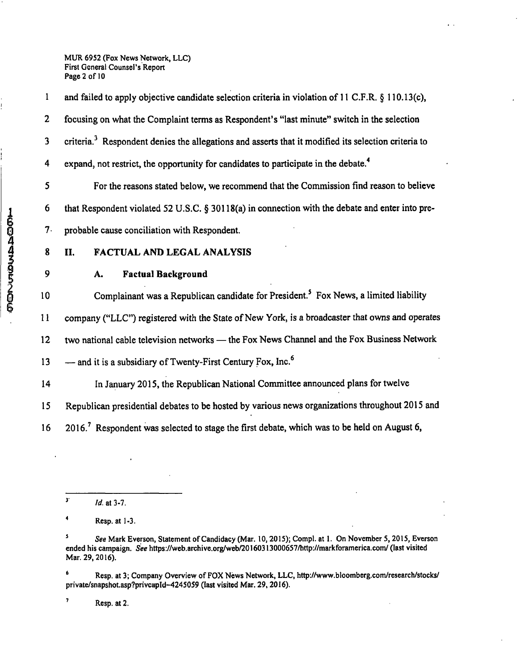**MUR 6952 (Fox News Network, LLC) First General Counsel's Report Page 2 of 10** 

1 and failed to apply objective candidate selection criteria in violation of 11 C.F.R. § 110.13(c), 2 focusing on what the Complaint terms as Respondent's "last minute" switch in the selection 3 criteria.<sup>3</sup> Respondent denies the allegations and asserts that it modified its selection criteria to 4 expand, not restrict, the opportunity for candidates to participate in the debate.<sup>4</sup>

5 For the reasons stated below, we recommend that the Commission find reason to believe 6 that Respondent violated 52 U.S.C.  $\S 30118(a)$  in connection with the debate and enter into pre-7- probable cause conciliation with Respondent.

## **4 8 11. FACTUAL AND LEGAL ANALYSIS**

## **9 A. Factual Background**

10 Complainant was a Republican candidate for President.<sup>5</sup> Fox News, a limited liability

11 company ("LLC") registered with the State of New York, is a broadcaster that owns and operates

12 two national cable television networks — the Fox News Channel and the Fox Business Network

13 — and it is a subsidiary of Twenty-First Century Fox, Inc.<sup>6</sup>

14 In January 2015, the Republican National Committee announced plans for twelve

15 Republican presidential debates to be hosted by various news organizations throughout 2015 and

16 2016.<sup>7</sup> Respondent was selected to stage the first debate, which was to be held on August 6,

**' Resp. at 3; Company Overview of FOX News Network, LLC, http://www.bloomberg.com/research/stocks/ private/snapshot.asp?privcapld-4245059 (last visited Mar. 29,2016).** 

**' Resp. at 2.** 

 $\frac{3}{4}$  *Id.* at 3-7.

**<sup>\*</sup> Resp. atl-3.** 

**<sup>&#</sup>x27; See Mark Everson, Statement of Candidacy (Mar. 10,2015); Compl. at 1. On November 5,2015, Everson ended his campaign. See https://web.archive.org/web/20160313000657/http://markforamerica.com/ (last visited Mar. 29,2016).**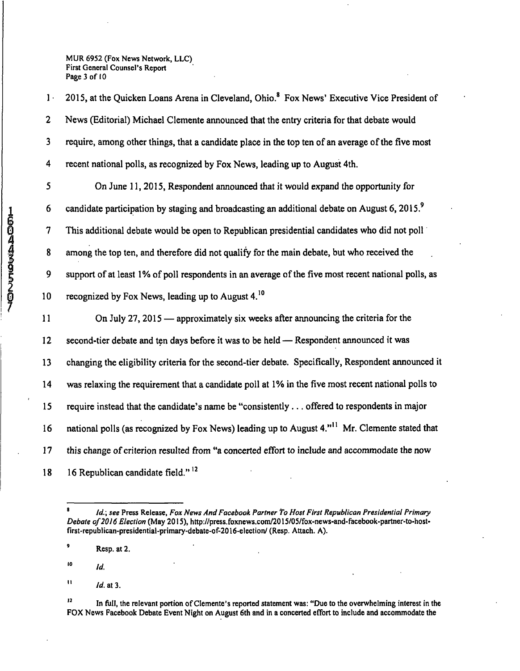**MUR 6952 (Fox News Network, LLC) First General Counsel's Report Page 3 of 10** 

1 2015, at the Quicken Loans Arena in Cleveland, Ohio.<sup>8</sup> Fox News' Executive Vice President of 2 News (Editorial) Michael Clemente announced that the entry criteria for that debate would 3 require, among other things, that a candidate place in the top ten of an average of the five most 4 recent national polls, as recognized by Fox News, leading up to August 4th. 5 On June 11, 2015, Respondent announced that it would expand the opportunity for 6 candidate participation by staging and broadcasting an additional debate on August 6, 2015.<sup>9</sup> 7 This additional debate would be open to Republican presidential candidates who did not poll 8 among the top ten, and therefore did not qualify for the main debate, but who received the 9 support of at least 1% of poll respondents in an average of the five most recent national polls, as 10 recognized by Fox News, leading up to August  $4<sup>10</sup>$ 11 On July 27,2015 — approximately six weeks after announcing the criteria for the 12 second-tier debate and ten days before it was to be held — Respondent announced it was 13 changing the eligibility criteria for the second-tier debate. Specifically, Respondent announced it 14 was relaxing the requirement that a candidate poll at 1% in the five most recent national polls to 15 require instead that the candidate's name be "consistently ... offered to respondents in major 16 national polls (as recognized by Fox News) leading up to August 4."" Mr. Clemente stated that

17 this change of criterion resulted from "a concerted effort to include and accommodate the now

18 16 Republican candidate field."<sup>12</sup>

- 10 *Id.*
- $11$  *Id.* at 3.

*<sup>&#</sup>x27; Id.\ see Press Release, Fox News And Facebook Partner to Host First Republican Presidential Primary*  **Debate of 2016 Election (May 2015), http://press.foxnews.com/2015/05/fox-news-and-facebook-partner-to-hostflrst-republican-presidential-primary-debate-of-2016-election/ (Resp. Attach. A).** 

<sup>&</sup>lt;sup>9</sup> Resp. at 2.

<sup>&</sup>lt;sup>12</sup> In full, the relevant portion of Clemente's reported statement was: "Due to the overwhelming interest in the **FOX News Facebook Debate Event Night on August 6th and in a concerted effort to include and accommodate the**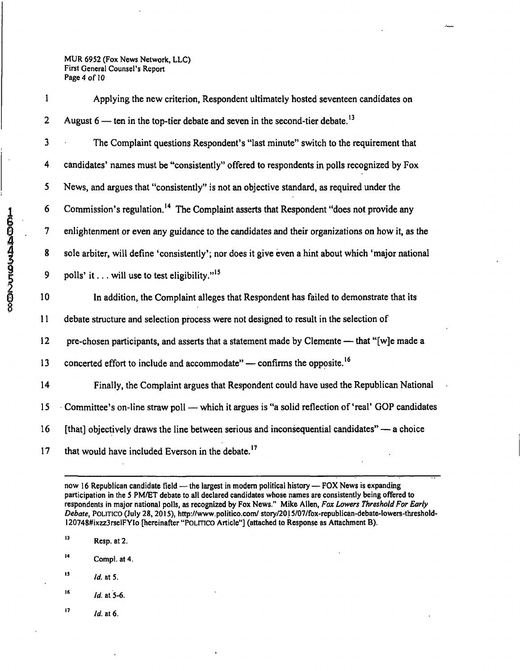**MUR 6952 (Fox News Network, LLC) First General Counsel's Report Page 4 of 10** 

1 Applying the new criterion, Respondent ultimately hosted seventeen candidates on 2 August  $6$  — ten in the top-tier debate and seven in the second-tier debate.<sup>13</sup> 3 The Complaint questions Respondent's "last minute" switch to the requirement that 4 candidates' names must be "consistently" offered to respondents in polls recognized by Fox 5 News, and argues that "consistently" is not an objective standard, as required under the 6 Commission's regulation.<sup>14</sup> The Complaint asserts that Respondent "does not provide any 7 enlightenment or even any guidance to the candidates and their organizations on how it, as the 8 sole arbiter, will define 'consistently'; nor does it give even a hint about which 'major national 9 polls' it... will use to test eligibility."<sup>15</sup> 10 In addition, the Complaint alleges that Respondent has failed to demonstrate that its 11 debate structure and selection process were not designed to result in the selection of 12 pre-chosen participants, and asserts that a statement made by Clemente — that "[w]e made a 13 concerted effort to include and accommodate" — confirms the opposite.<sup>16</sup> 14 Finally, the Complaint argues that Respondent could have used the Republican National 15 Committee's on-line straw poll — which it argues is "a solid reflection of 'real' GOP candidates 16 [that] objectively draws the line between serious and inconsequential candidates" — a choice 17 that would have included Everson in the debate.<sup>17</sup>

- $16$ *ld.* at 5-6.
- $17$  *Id.* at 6.

**now 16 Republican candidate field — the largest in modem political history — FOX News is expanding participation in the 5 PM/ET debate to all declared candidates whose names are consistently being offered to respondents in major national polls, as recognized by Fox News." Mike Allen, Fox Lowers Threshold For Early Debate, POLITICO (July 28,2015), http://www.politico.com/ story/2015/07/fox-republican-debate-lowers-threshold-120748#ixzz3rselFYIo [hereinafter "POLITICO Article"] (attached to Response as Attachment B).** 

**<sup>&</sup>quot; Resp. at 2.** 

 $\overline{14}$ **Compl. at 4.** 

 $15$  *Id.* at 5.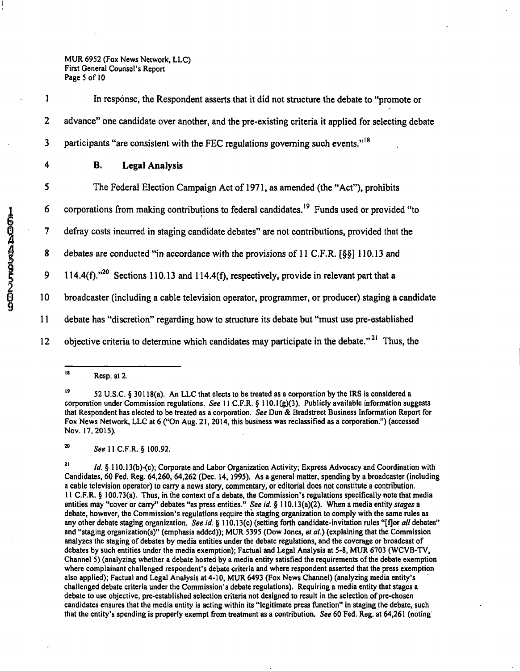**MUR 6952 (Fox News Network, LLC) First General Counsel's Report Page 5 of 10** 

1 In response, the Respondent asserts that it did not structure the debate to "promote or 2 advance" one candidate over another, and the pre-existing criteria it applied for selecting debate 3 participants "are consistent with the FEC regulations governing such events."<sup>18</sup>

## 4 B. Legal Analysis

5 The Federal Election Campaign Act of 1971, as amended (the "Act"), prohibits

2 6 corporations from making contributions to federal candidates.<sup>19</sup> Funds used or provided "to<br>
2 defray costs incurred in staging candidate debates" are not contributions, provided that the<br>
2 debates are conducted "in

0 7 defray costs incurred in staging candidate debates" are not contributions, provided that the

8 debates are conducted "in accordance with the provisions of 11 C.F.R. [§§] 110.13 and

9 114.4(f). $n^{20}$  Sections 110.13 and 114.4(f), respectively, provide in relevant part that a

10 broadcaster (including a cable television operator, programmer, or producer) staging a candidate

11 debate has "discretion" regarding how to structure its debate but "must use pre-established

12 objective criteria to determine which candidates may participate in the debate."<sup>21</sup> Thus, the

**<sup>20</sup>See 11 C.F.R. § 100.92.** 

<sup>18</sup> **Resp. at 2.** 

<sup>&</sup>lt;sup>19</sup> 52 U.S.C. § 30118(a). An LLC that elects to be treated as a corporation by the IRS is considered a **corporation under Commission regulations. See 11 C.F.R. § 110.1(g)(3). Publicly available information suggests that Respondent has elected to be treated as a corporation. See Oun & Bradstreet Business Information Report for Fox News Network, LLC at 6 ("On Aug. 21, 2014, this business was reclassified as a corporation.") (accessed Nov. 17,2015).** 

 $21$ **Id. § 110.13(b)-(c); Corporate and Labor Organization Activity; Express Advocacy and Coordination with Candidates, 60 Fed. Reg. 64,260, 64,262 (Dec. 14,1995). As a general matter, spending by a broadcaster (including a cable television operator) to carry a news story, commentary, or editorial does not constitute a contribution. 11 C.F.R. § 100.73(a). Thus, in the context of a debate, the Commission's regulations specifically note that media entities may "cover or carry" debates "as press entities." See id. § 110.13(a)(2). When a media entity stages a debate, however, the Commission's regulations require the staging organization to comply with the same rules as any other debate staging organization. See id. § 110.13(c) (setting forth candidate-invitation rules "[fjor all debates" and "staging organization(s)" (emphasis added)); MUR 5395 (Dow Jones, el al.) (explaining that the Commission analyzes the staging of debates by media entities under the debate regulations, and the coverage or broadcast of debates by such entities under the media exemption); Factual and Legal Analysis at 5-8, MUR 6703 (WCVB-TV, Channel 5) (analyzing whether a debate hosted by a media entity satisfied the requirements of the debate exemption where complainant challenged respondent's debate criteria and where respondent asserted that the press exemption also applied); Factual and Legal Analysis at 4-10, MUR 6493 (Fox News Channel) (analyzing media entity's challenged debate criteria under the Commission's debate regulations). Requiring a media entity that stages a debate to use objective, pre-established selection criteria not designed to result in the selection of pre-chosen candidates ensures that the media entity is acting within its "legitimate press function" in staging the debate, such that the entity's spending is properly exempt from treatment as a contribution. See 60 Fed. Reg. at 64,261 (noting**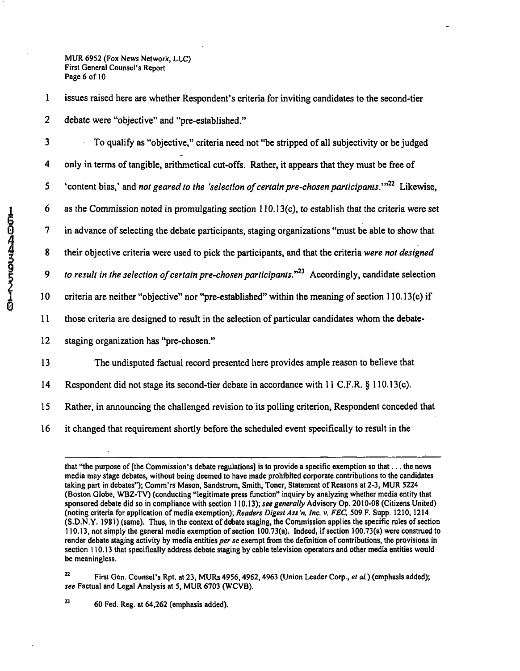**MUR 6952 (Fox News Network, LLC) First General Counsel's Report Page 6 of 10** 

1 issues raised here are whether Respondent's criteria for inviting candidates to the second-tier 2 debate were "objective" and "pre-established."

3 To qualify as "objective," criteria need not "be stripped of all subjectivity or be Judged 4 only in terms of tangible, arithmetical cut-offs. Rather, it appears that they must be free of 5 'content bias,' and not geared to the 'selection of certain pre-chosen participants. $1^{1/22}$  Likewise, 6 as the Commission noted in promulgating section 110.13(c), to establish that the criteria were set 7 in advance of selecting the debate participants, staging organizations "must be able to show that *8 their objective criteria were used to pick the participants, and that the criteria were not designed*  9 to result in the selection of certain pre-chosen participants."<sup>23</sup> Accordingly, candidate selection 10 criteria are neither "objective" nor "pre-established" within the meaning of section 110.13(c) if 11 those criteria are designed to result in the selection of particular candidates whom the debate-12 staging organization has "pre-chosen." 13 The undisputed factual record presented here provides ample reason to believe that 14 Respondent did not stage its second-tier debate in accordance with 11 C.F.R. § 110.13(c). 15 Rather, in announcing the challenged revision to its polling criterion. Respondent conceded that

16 it changed that requirement shortly before the scheduled event specifically to result in the

22 **First Gen. Counsel's Rpt. at 23, MURs 4956,4962,4963 (Union Leader Corp., et al.) (emphasis added);**  see Factual and Legal Analysis at 5, MUR 6703 (WCVB).

**that "the purpose of [the Commission's debate regulations] is to provide a specific exemption so that... the news media may stage debates, without being deemed to have made prohibited corporate contributions to the candidates taking part in debates"); Comm'rs Mason, Sandstrom, Smith, Toner, Statement of Reasons at 2-3, MUR 5224 (Boston Globe, WBZ-TV) (conducting "legitimate press function" inquiry by analyzing whether media entity that sponsored debate did so in compliance with section 110.13), see generally Advisory Op. 2010-08 (Citizens United) (noting criteria for application of media exemption); Readers Digest Ass'n, Inc. v. FEC, 509 F. Supp. 1210,1214 (S.D.N. Y. 1981) (same). Thus, in the context of d^ate staging, the Commission applies the specific rules of section 110.13, not siinply the general media exemption of section 100.73(a). Indeed, if section 100.73(a) were construed to render debate staging activity by media entities per se exempt from the defmition of contributions, the provisions in section 110.13 that specifically address debate staging by cable television operators and other media entities would be meaningless.** 

**<sup>&</sup>quot; 60 Fed. Reg. at 64,262 (emphasis added).**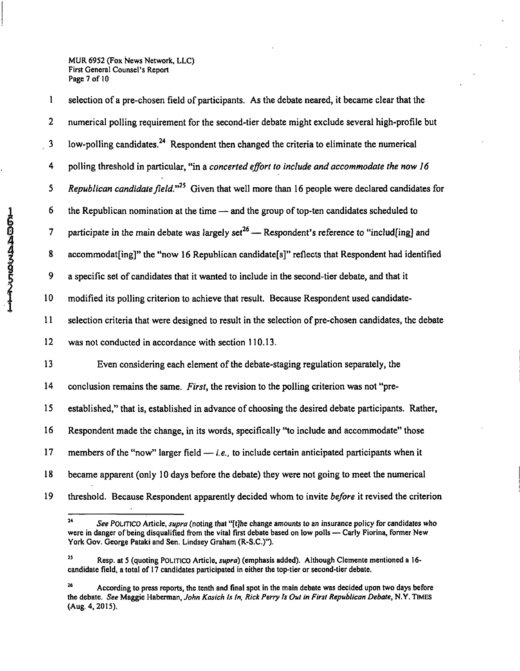**MUR 6952 (Fox News Network, LLC) First General Counsel's Report Page 7 of 10** 

1 selection of a pre-chosen field of participants. As the debate neared, it became clear that the 2 numerical polling requirement for the second-tier debate might exclude several high-profile but 3 low-polling candidates.<sup>24</sup> Respondent then changed the criteria to eliminate the numerical *4 polling threshold in particular, "in a concerted effort to include and accommodate the now 16*  5 Republican candidate field."<sup>25</sup> Given that well more than 16 people were declared candidates for 6 the Republican nomination at the time — and the group of top-ten candidates scheduled to 7 participate in the main debate was largely set<sup>26</sup> — Respondent's reference to "includ[ing] and 8 accommodat[ing]" the "now 16 Republican candidate[s]" reflects that Respondent had identified 9 a specific set of candidates that it wanted to include in the second-tier debate, and that it 10 modified its polling criterion to achieve that result. Because Respondent used candidate-11 selection criteria that were designed to result in the selection of pre-chosen candidates, the debate 12 was not conducted in accordance with section 110.13. 13 Even considering each element of the debate-staging regulation separately, the 14 conclusion remains the same. First, the revision to the polling criterion was not "pre-15 established," that is, established in advance of choosing the desired debate participants. Rather, 16 Respondent made the change, in its words, specifically "to include and accommodate" those 17 members of the "now" larger field  $-i.e.,$  to include certain anticipated participants when it 18 became apparent (only 10 days before the debate) they were not going to meet the numerical 19 threshold. Because Respondent apparently decided whom to invite *before* it revised the criterion

<sup>24</sup> **See POLITICO Article, supra (noting that "[t]he change amounts to an insurance policy for candidates who were in danger of being disqualified from the vital first debate based on low polls — Carly Fiorina, former New York Gov. George Pataki and Sen. Lindsey Graham (R-S.C.)").** 

<sup>&</sup>lt;sup>25</sup> Resp. at 5 (quoting POLITICO Article, *supra*) (emphasis added). Although Clemente mentioned a 16**candidate field, a total of 17 candidates participated in either the top-tier or second-tier debate.** 

**According to press reports, the tenth and final spot in the main debate was decided upon two days before**  the debate. See Maggie Haberman, John Kasich Is In, Rick Perry Is Out in First Republican Debate, N.Y. TIMES **(Aug. 4, 2015).**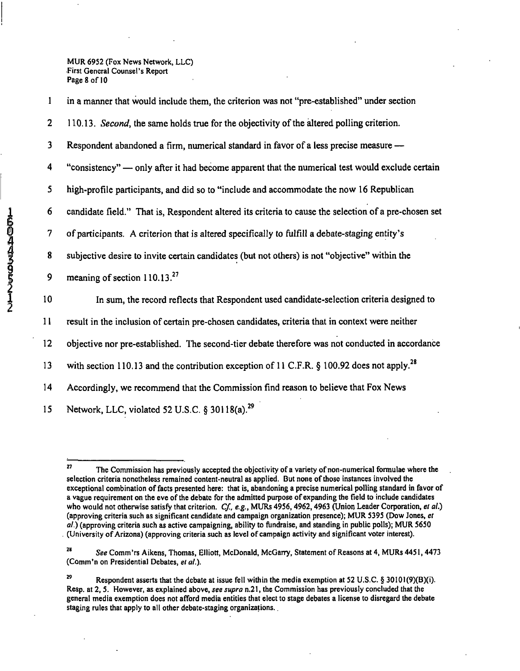**MUR 6952 (Fox News Network, LLC) First General Counsel's Report Page 8 of 10** 

2 110.13. Second, the same holds true for the objectivity of the altered polling criterion. 3 Respondent abandoned a firm, numerical standard in favor of a less precise measure — 4 "consistency" — only after it had become apparent that the numerical test would exclude certain 5 high-profile participants, and did so to "include and accommodate the now 16 Republican 6 candidate field." That is. Respondent altered its criteria to cause the selection of a pre-chosen set 7 of participants. A criterion that is altered specifically to fulfill a debate-staging entity's 8 subjective desire to invite certain candidates (but not others) is not "objective" within the 9 meaning of section  $110.13^{27}$ 10 In sum, the record reflects that Respondent used candidate-selection criteria designed to 11 result in the inclusion of certain pre-chosen candidates, criteria that in context were neither 12 objective nor pre-established. The second-tier debate therefore was not conducted in accordance 13 with section 110.13 and the contribution exception of 11 C.F.R. § 100.92 does not apply.<sup>28</sup>

1 in a manner that would include them, the criterion was not "pre-established" under section

14 Accordingly, we recommend that the Commission find reason to believe that Fox News

15 Network, LLC, violated 52 U.S.C. § 30118(a).<sup>29</sup>

 $\mathbf{27}$ The Commission has previously accepted the objectivity of a variety of non-numerical formulae where the **selection criteria nonetheless remained content-neutral as applied. But none of those instances involved the exceptional combination of facts presented here: that is, abandoning a precise numerical polling standard in favor of a vague requirement on the eve of the debate for the admitted purpose of expanding the field to include candidates**  who would not otherwise satisfy that criterion. Cf., e.g., MURs 4956, 4962, 4963 (Union Leader Corporation, et al.) **(approving criteria such as significant candidate and campaign organization presence); MUR 5395 (Dow Jones, et al.) (approving criteria such as active campaigning, ability to fundraise, and standing in public polls); MUR 5650 (University of Arizona) (approving criteria such as level of campaign activity and significant voter interest).** 

See Comm'rs Aikens, Thomas, Elliott, McDonald, McGarry, Statement of Reasons at 4, MURs 4451, 4473 *(Comm'n on Presidential Debates, el ai.).* 

<sup>&</sup>lt;sup>29</sup> Respondent asserts that the debate at issue fell within the media exemption at 52 U.S.C. § 30101(9)(B)(i). **Resp. at 2, 5. However, as explained above, see supra n.21, the Commission has previously concluded that the general media exemption does not afford media entities that elect to stage debates a license to disregard the debate staging rules that apply to all other debate-staging organizations..**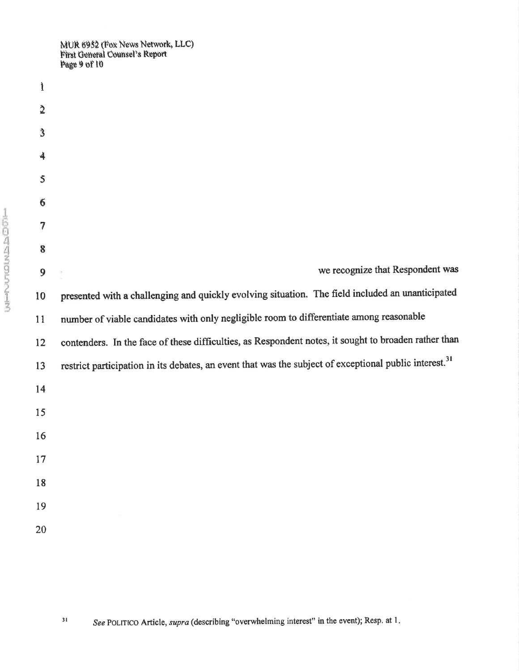MUR 6952 (Fox News Network, LLC)<br>First General Counsel's Report<br>Page 9 of 10

| $\mathbf i$         |                                                                                                                    |
|---------------------|--------------------------------------------------------------------------------------------------------------------|
| $\tilde{2}$         |                                                                                                                    |
| $\mathbf{3}$        |                                                                                                                    |
| $\ddot{\mathbf{4}}$ |                                                                                                                    |
| 5                   |                                                                                                                    |
| $6\phantom{1}6$     |                                                                                                                    |
| 7                   |                                                                                                                    |
| 8                   |                                                                                                                    |
| 9                   | we recognize that Respondent was                                                                                   |
| 10                  | presented with a challenging and quickly evolving situation. The field included an unanticipated                   |
| 11                  | number of viable candidates with only negligible room to differentiate among reasonable                            |
| 12                  | contenders. In the face of these difficulties, as Respondent notes, it sought to broaden rather than               |
| 13                  | restrict participation in its debates, an event that was the subject of exceptional public interest. <sup>31</sup> |
| 14                  |                                                                                                                    |
| 15                  |                                                                                                                    |
| 16                  |                                                                                                                    |
| 17                  |                                                                                                                    |
| 18                  |                                                                                                                    |
| 19                  |                                                                                                                    |
| 20                  |                                                                                                                    |
|                     |                                                                                                                    |